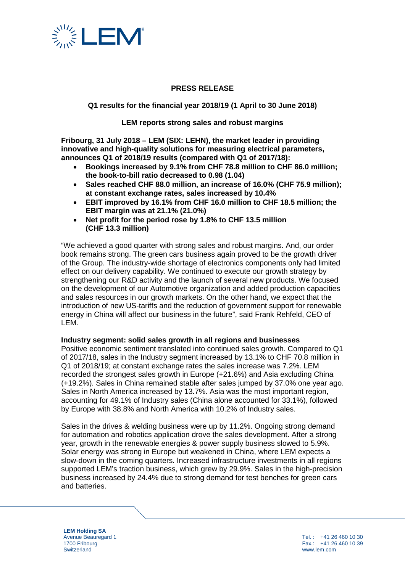

# **PRESS RELEASE**

**Q1 results for the financial year 2018/19 (1 April to 30 June 2018)**

**LEM reports strong sales and robust margins**

**Fribourg, 31 July 2018 – LEM (SIX: LEHN), the market leader in providing innovative and high-quality solutions for measuring electrical parameters, announces Q1 of 2018/19 results (compared with Q1 of 2017/18):** 

- **Bookings increased by 9.1% from CHF 78.8 million to CHF 86.0 million; the book-to-bill ratio decreased to 0.98 (1.04)**
- **Sales reached CHF 88.0 million, an increase of 16.0% (CHF 75.9 million); at constant exchange rates, sales increased by 10.4%**
- **EBIT improved by 16.1% from CHF 16.0 million to CHF 18.5 million; the EBIT margin was at 21.1% (21.0%)**
- **Net profit for the period rose by 1.8% to CHF 13.5 million (CHF 13.3 million)**

"We achieved a good quarter with strong sales and robust margins. And, our order book remains strong. The green cars business again proved to be the growth driver of the Group. The industry-wide shortage of electronics components only had limited effect on our delivery capability. We continued to execute our growth strategy by strengthening our R&D activity and the launch of several new products. We focused on the development of our Automotive organization and added production capacities and sales resources in our growth markets. On the other hand, we expect that the introduction of new US-tariffs and the reduction of government support for renewable energy in China will affect our business in the future", said Frank Rehfeld, CEO of LEM.

### **Industry segment: solid sales growth in all regions and businesses**

Positive economic sentiment translated into continued sales growth. Compared to Q1 of 2017/18, sales in the Industry segment increased by 13.1% to CHF 70.8 million in Q1 of 2018/19; at constant exchange rates the sales increase was 7.2%. LEM recorded the strongest sales growth in Europe (+21.6%) and Asia excluding China (+19.2%). Sales in China remained stable after sales jumped by 37.0% one year ago. Sales in North America increased by 13.7%. Asia was the most important region, accounting for 49.1% of Industry sales (China alone accounted for 33.1%), followed by Europe with 38.8% and North America with 10.2% of Industry sales.

Sales in the drives & welding business were up by 11.2%. Ongoing strong demand for automation and robotics application drove the sales development. After a strong year, growth in the renewable energies & power supply business slowed to 5.9%. Solar energy was strong in Europe but weakened in China, where LEM expects a slow-down in the coming quarters. Increased infrastructure investments in all regions supported LEM's traction business, which grew by 29.9%. Sales in the high-precision business increased by 24.4% due to strong demand for test benches for green cars and batteries.

**LEM Holding SA** Avenue Beauregard 1 1700 Fribourg **Switzerland** 

Tel. : +41 26 460 10 30  $Fax: 441.26.460.10.39$ www.lem.com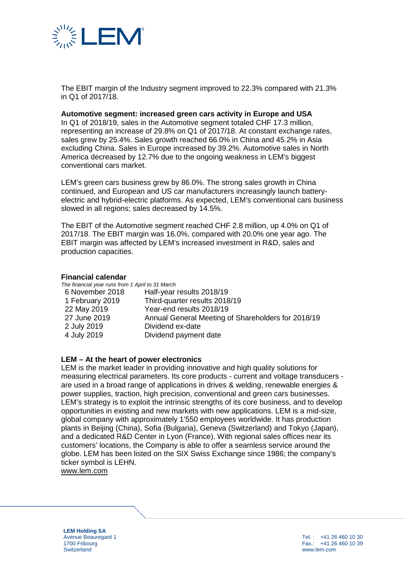

The EBIT margin of the Industry segment improved to 22.3% compared with 21.3% in Q1 of 2017/18.

#### **Automotive segment: increased green cars activity in Europe and USA**

In Q1 of 2018/19, sales in the Automotive segment totaled CHF 17.3 million, representing an increase of 29.8% on Q1 of 2017/18. At constant exchange rates, sales grew by 25.4%. Sales growth reached 66.0% in China and 45.2% in Asia excluding China. Sales in Europe increased by 39.2%. Automotive sales in North America decreased by 12.7% due to the ongoing weakness in LEM's biggest conventional cars market.

LEM's green cars business grew by 86.0%. The strong sales growth in China continued, and European and US car manufacturers increasingly launch batteryelectric and hybrid-electric platforms. As expected, LEM's conventional cars business slowed in all regions; sales decreased by 14.5%.

The EBIT of the Automotive segment reached CHF 2.8 million, up 4.0% on Q1 of 2017/18. The EBIT margin was 16.0%, compared with 20.0% one year ago. The EBIT margin was affected by LEM's increased investment in R&D, sales and production capacities.

#### **Financial calendar**

| The financial year runs from 1 April to 31 March |                                                    |
|--------------------------------------------------|----------------------------------------------------|
| 6 November 2018                                  | Half-year results 2018/19                          |
| 1 February 2019                                  | Third-quarter results 2018/19                      |
| 22 May 2019                                      | Year-end results 2018/19                           |
| 27 June 2019                                     | Annual General Meeting of Shareholders for 2018/19 |
| 2 July 2019                                      | Dividend ex-date                                   |
| 4 July 2019                                      | Dividend payment date                              |
|                                                  |                                                    |

#### **LEM – At the heart of power electronics**

LEM is the market leader in providing innovative and high quality solutions for measuring electrical parameters. Its core products - current and voltage transducers are used in a broad range of applications in drives & welding, renewable energies & power supplies, traction, high precision, conventional and green cars businesses. LEM's strategy is to exploit the intrinsic strengths of its core business, and to develop opportunities in existing and new markets with new applications. LEM is a mid-size, global company with approximately 1'550 employees worldwide. It has production plants in Beijing (China), Sofia (Bulgaria), Geneva (Switzerland) and Tokyo (Japan), and a dedicated R&D Center in Lyon (France). With regional sales offices near its customers' locations, the Company is able to offer a seamless service around the globe. LEM has been listed on the SIX Swiss Exchange since 1986; the company's ticker symbol is LEHN.

[www.lem.com](http://www.lem.com/)

**LEM Holding SA** Avenue Beauregard 1 1700 Fribourg **Switzerland**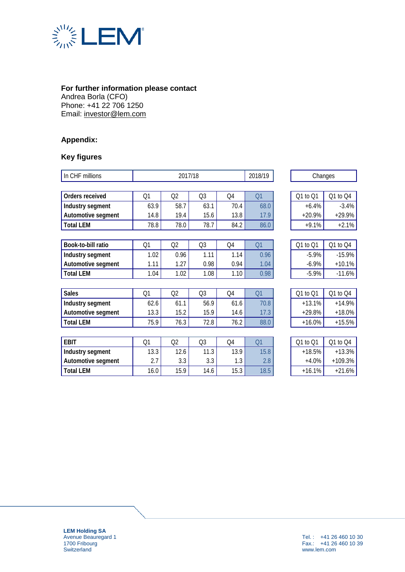

## **For further information please contact**

Andrea Borla (CFO) Phone: +41 22 706 1250 Email: [investor@lem.com](mailto:investor@lem.com)

# **Appendix:**

# **Key figures**

| In CHF millions    |      | 2017/18 |                | 2018/19 | Changes |          |           |
|--------------------|------|---------|----------------|---------|---------|----------|-----------|
|                    |      |         |                |         |         |          |           |
| Orders received    | Q1   | Q2      | Q <sub>3</sub> | Q4      | Q1      | Q1 to Q1 | Q1 to Q4  |
| Industry segment   | 63.9 | 58.7    | 63.1           | 70.4    | 68.0    | $+6.4%$  | $-3.4%$   |
| Automotive segment | 14.8 | 19.4    | 15.6           | 13.8    | 17.9    | $+20.9%$ | $+29.9%$  |
| <b>Total LEM</b>   | 78.8 | 78.0    | 78.7           | 84.2    | 86.0    | $+9.1%$  | $+2.1%$   |
|                    |      |         |                |         |         |          |           |
| Book-to-bill ratio | Q1   | Q2      | Q <sub>3</sub> | Q4      | Q1      | Q1 to Q1 | Q1 to Q4  |
| Industry segment   | 1.02 | 0.96    | 1.11           | 1.14    | 0.96    | $-5.9%$  | $-15.9%$  |
| Automotive segment | 1.11 | 1.27    | 0.98           | 0.94    | 1.04    | $-6.9%$  | $+10.1%$  |
| <b>Total LEM</b>   | 1.04 | 1.02    | 1.08           | 1.10    | 0.98    | $-5.9%$  | $-11.6%$  |
|                    |      |         |                |         |         |          |           |
| <b>Sales</b>       | Q1   | Q2      | Q3             | Q4      | Q1      | Q1 to Q1 | Q1 to Q4  |
| Industry segment   | 62.6 | 61.1    | 56.9           | 61.6    | 70.8    | $+13.1%$ | $+14.9%$  |
| Automotive segment | 13.3 | 15.2    | 15.9           | 14.6    | 17.3    | $+29.8%$ | $+18.0%$  |
| <b>Total LEM</b>   | 75.9 | 76.3    | 72.8           | 76.2    | 88.0    | $+16.0%$ | $+15.5%$  |
|                    |      |         |                |         |         |          |           |
| <b>EBIT</b>        | Q1   | Q2      | Q <sub>3</sub> | Q4      | Q1      | Q1 to Q1 | Q1 to Q4  |
| Industry segment   | 13.3 | 12.6    | 11.3           | 13.9    | 15.8    | $+18.5%$ | $+13.3%$  |
| Automotive segment | 2.7  | 3.3     | 3.3            | 1.3     | 2.8     | $+4.0%$  | $+109.3%$ |
| <b>Total LEM</b>   | 16.0 | 15.9    | 14.6           | 15.3    | 18.5    | $+16.1%$ | $+21.6%$  |

**LEM Holding SA** Avenue Beauregard 1 1700 Fribourg **Switzerland**